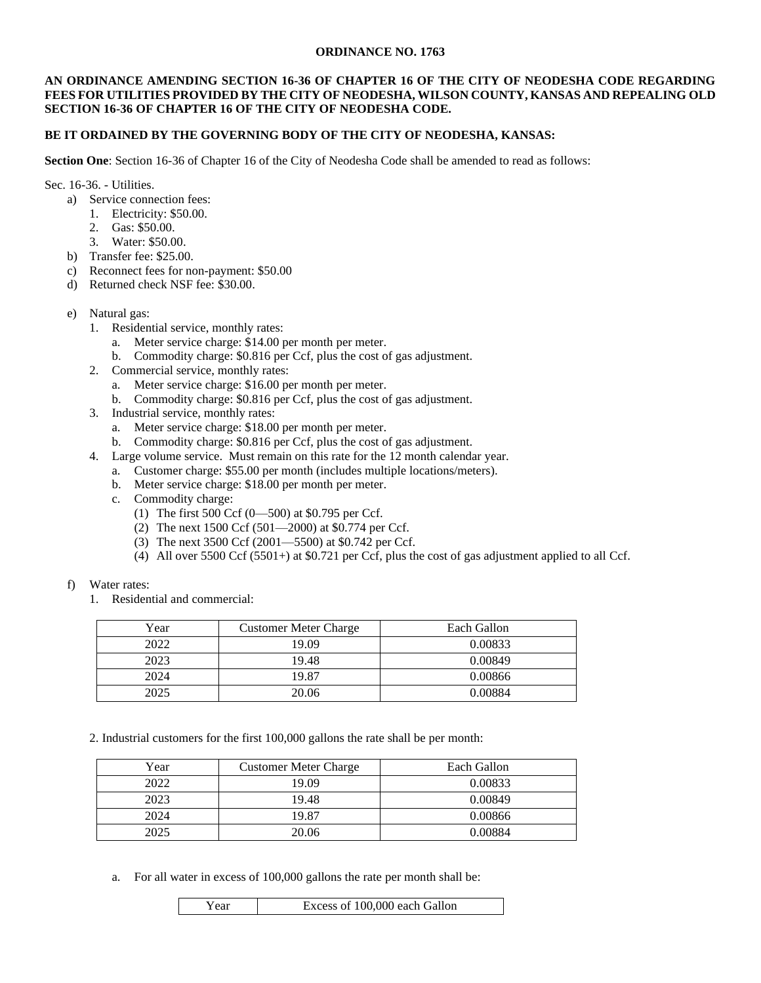#### **ORDINANCE NO. 1763**

#### **AN ORDINANCE AMENDING SECTION 16-36 OF CHAPTER 16 OF THE CITY OF NEODESHA CODE REGARDING FEES FOR UTILITIES PROVIDED BY THE CITY OF NEODESHA, WILSON COUNTY, KANSAS AND REPEALING OLD SECTION 16-36 OF CHAPTER 16 OF THE CITY OF NEODESHA CODE.**

# **BE IT ORDAINED BY THE GOVERNING BODY OF THE CITY OF NEODESHA, KANSAS:**

**Section One**: Section 16-36 of Chapter 16 of the City of Neodesha Code shall be amended to read as follows:

Sec. 16-36. - Utilities.

- a) Service connection fees:
	- 1. Electricity: \$50.00.
	- 2. Gas: \$50.00.
	- 3. Water: \$50.00.
- b) Transfer fee: \$25.00.
- c) Reconnect fees for non-payment: \$50.00
- d) Returned check NSF fee: \$30.00.
- e) Natural gas:
	- 1. Residential service, monthly rates:
		- a. Meter service charge: \$14.00 per month per meter.
		- b. Commodity charge: \$0.816 per Ccf, plus the cost of gas adjustment.
	- 2. Commercial service, monthly rates:
		- a. Meter service charge: \$16.00 per month per meter.
		- b. Commodity charge: \$0.816 per Ccf, plus the cost of gas adjustment.
	- 3. Industrial service, monthly rates:
		- a. Meter service charge: \$18.00 per month per meter.
		- b. Commodity charge: \$0.816 per Ccf, plus the cost of gas adjustment.
	- 4. Large volume service. Must remain on this rate for the 12 month calendar year.
		- a. Customer charge: \$55.00 per month (includes multiple locations/meters).
		- b. Meter service charge: \$18.00 per month per meter.
		- c. Commodity charge:
			- (1) The first 500 Ccf (0—500) at \$0.795 per Ccf.
			- (2) The next 1500 Ccf (501—2000) at \$0.774 per Ccf.
			- (3) The next 3500 Ccf (2001—5500) at \$0.742 per Ccf.
			- (4) All over 5500 Ccf (5501+) at \$0.721 per Ccf, plus the cost of gas adjustment applied to all Ccf.
- f) Water rates:
	- 1. Residential and commercial:

| Year | <b>Customer Meter Charge</b> | Each Gallon |
|------|------------------------------|-------------|
| 2022 | 19.09                        | 0.00833     |
| 2023 | 19.48                        | 0.00849     |
| 2024 | 19.87                        | 0.00866     |
| 2025 | 20.06                        | 0.00884     |

2. Industrial customers for the first 100,000 gallons the rate shall be per month:

| Year | <b>Customer Meter Charge</b> | Each Gallon |
|------|------------------------------|-------------|
| 2022 | 19.09                        | 0.00833     |
| 2023 | 19.48                        | 0.00849     |
| 2024 | 19.87                        | 0.00866     |
| 2025 | 20.06                        | 0.00884     |

a. For all water in excess of 100,000 gallons the rate per month shall be: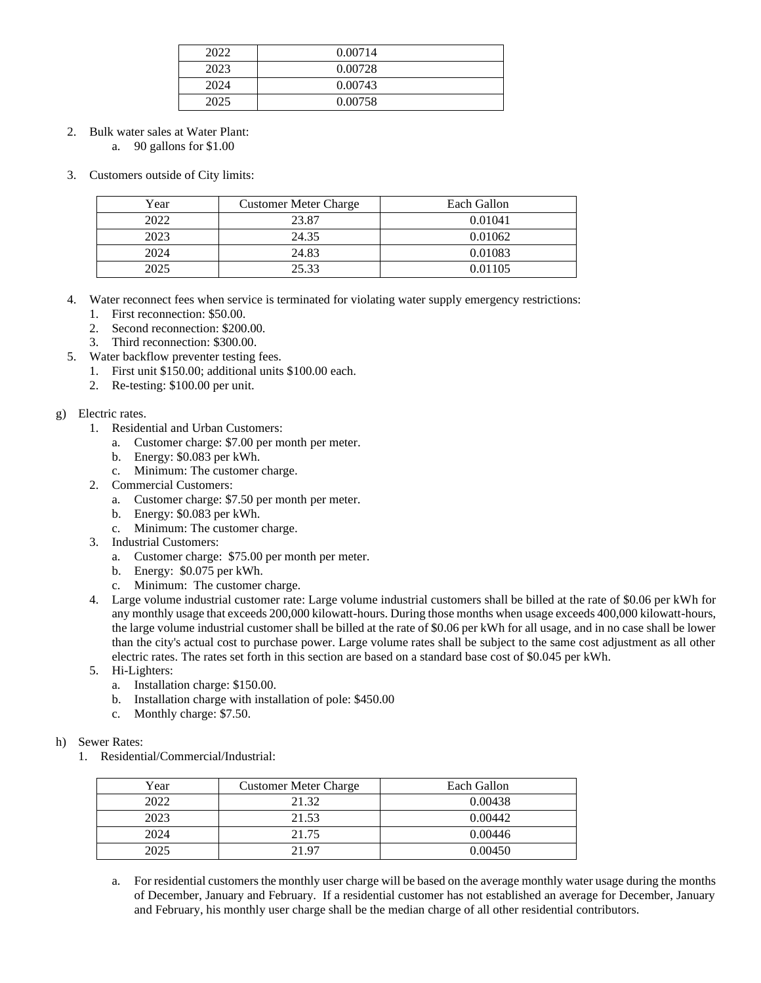| 2022 | 0.00714 |
|------|---------|
| 2023 | 0.00728 |
| 2024 | 0.00743 |
| 2025 | 0.00758 |

2. Bulk water sales at Water Plant:

a. 90 gallons for \$1.00

3. Customers outside of City limits:

| Year | <b>Customer Meter Charge</b> | Each Gallon |
|------|------------------------------|-------------|
| 2022 | 23.87                        | 0.01041     |
| 2023 | 24.35                        | 0.01062     |
| 2024 | 24.83                        | 0.01083     |
| 2025 | 25.33                        | 0.01105     |

- 4. Water reconnect fees when service is terminated for violating water supply emergency restrictions:
	- 1. First reconnection: \$50.00.
	- 2. Second reconnection: \$200.00.
	- 3. Third reconnection: \$300.00.
- 5. Water backflow preventer testing fees.
	- 1. First unit \$150.00; additional units \$100.00 each.
	- 2. Re-testing: \$100.00 per unit.

# g) Electric rates.

- 1. Residential and Urban Customers:
	- a. Customer charge: \$7.00 per month per meter.
	- b. Energy: \$0.083 per kWh.
	- c. Minimum: The customer charge.
- 2. Commercial Customers:
	- a. Customer charge: \$7.50 per month per meter.
	- b. Energy: \$0.083 per kWh.
	- c. Minimum: The customer charge.
- 3. Industrial Customers:
	- a. Customer charge: \$75.00 per month per meter.
	- b. Energy: \$0.075 per kWh.
	- c. Minimum: The customer charge.
- 4. Large volume industrial customer rate: Large volume industrial customers shall be billed at the rate of \$0.06 per kWh for any monthly usage that exceeds 200,000 kilowatt-hours. During those months when usage exceeds 400,000 kilowatt-hours, the large volume industrial customer shall be billed at the rate of \$0.06 per kWh for all usage, and in no case shall be lower than the city's actual cost to purchase power. Large volume rates shall be subject to the same cost adjustment as all other electric rates. The rates set forth in this section are based on a standard base cost of \$0.045 per kWh.
- 5. Hi-Lighters:
	- a. Installation charge: \$150.00.
	- b. Installation charge with installation of pole: \$450.00
	- c. Monthly charge: \$7.50.

#### h) Sewer Rates:

1. Residential/Commercial/Industrial:

| Year | <b>Customer Meter Charge</b> | Each Gallon |
|------|------------------------------|-------------|
| 2022 | 21.32                        | 0.00438     |
| 2023 | 21.53                        | 0.00442     |
| 2024 | 21.75                        | 0.00446     |
| 2025 | 21.97                        | 0.00450     |

a. For residential customers the monthly user charge will be based on the average monthly water usage during the months of December, January and February. If a residential customer has not established an average for December, January and February, his monthly user charge shall be the median charge of all other residential contributors.